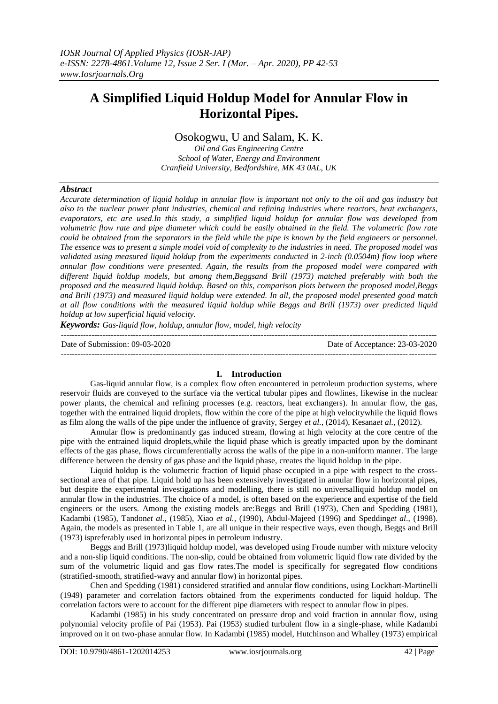# **A Simplified Liquid Holdup Model for Annular Flow in Horizontal Pipes.**

# Osokogwu, U and Salam, K. K.

*Oil and Gas Engineering Centre School of Water, Energy and Environment Cranfield University, Bedfordshire, MK 43 0AL, UK*

## *Abstract*

*Accurate determination of liquid holdup in annular flow is important not only to the oil and gas industry but also to the nuclear power plant industries, chemical and refining industries where reactors, heat exchangers, evaporators, etc are used.In this study, a simplified liquid holdup for annular flow was developed from volumetric flow rate and pipe diameter which could be easily obtained in the field. The volumetric flow rate could be obtained from the separators in the field while the pipe is known by the field engineers or personnel. The essence was to present a simple model void of complexity to the industries in need. The proposed model was validated using measured liquid holdup from the experiments conducted in 2-inch (0.0504m) flow loop where annular flow conditions were presented. Again, the results from the proposed model were compared with different liquid holdup models, but among them,Beggsand Brill (1973) matched preferably with both the proposed and the measured liquid holdup. Based on this, comparison plots between the proposed model,Beggs and Brill (1973) and measured liquid holdup were extended. In all, the proposed model presented good match at all flow conditions with the measured liquid holdup while Beggs and Brill (1973) over predicted liquid holdup at low superficial liquid velocity.*

*Keywords: Gas-liquid flow, holdup, annular flow, model, high velocity*

Date of Submission: 09-03-2020 Date of Acceptance: 23-03-2020

---------------------------------------------------------------------------------------------------------------------------------------

# **I. Introduction**

---------------------------------------------------------------------------------------------------------------------------------------

Gas-liquid annular flow, is a complex flow often encountered in petroleum production systems, where reservoir fluids are conveyed to the surface via the vertical tubular pipes and flowlines, likewise in the nuclear power plants, the chemical and refining processes (e.g. reactors, heat exchangers). In annular flow, the gas, together with the entrained liquid droplets, flow within the core of the pipe at high velocitywhile the liquid flows as film along the walls of the pipe under the influence of gravity, Sergey *et al.,* (2014), Kesana*et al.,* (2012).

Annular flow is predominantly gas induced stream, flowing at high velocity at the core centre of the pipe with the entrained liquid droplets,while the liquid phase which is greatly impacted upon by the dominant effects of the gas phase, flows circumferentially across the walls of the pipe in a non-uniform manner. The large difference between the density of gas phase and the liquid phase, creates the liquid holdup in the pipe.

Liquid holdup is the volumetric fraction of liquid phase occupied in a pipe with respect to the crosssectional area of that pipe. Liquid hold up has been extensively investigated in annular flow in horizontal pipes, but despite the experimental investigations and modelling, there is still no universalliquid holdup model on annular flow in the industries. The choice of a model, is often based on the experience and expertise of the field engineers or the users. Among the existing models are:Beggs and Brill (1973), Chen and Spedding (1981), Kadambi (1985), Tandon*et al.,* (1985), Xiao *et al.,* (1990), Abdul-Majeed (1996) and Spedding*et al*., (1998). Again, the models as presented in Table 1, are all unique in their respective ways, even though, Beggs and Brill (1973) ispreferably used in horizontal pipes in petroleum industry.

Beggs and Brill (1973)liquid holdup model, was developed using Froude number with mixture velocity and a non-slip liquid conditions. The non-slip, could be obtained from volumetric liquid flow rate divided by the sum of the volumetric liquid and gas flow rates.The model is specifically for segregated flow conditions (stratified-smooth, stratified-wavy and annular flow) in horizontal pipes.

Chen and Spedding (1981) considered stratified and annular flow conditions, using Lockhart-Martinelli (1949) parameter and correlation factors obtained from the experiments conducted for liquid holdup. The correlation factors were to account for the different pipe diameters with respect to annular flow in pipes.

Kadambi (1985) in his study concentrated on pressure drop and void fraction in annular flow, using polynomial velocity profile of Pai (1953). Pai (1953) studied turbulent flow in a single-phase, while Kadambi improved on it on two-phase annular flow. In Kadambi (1985) model, Hutchinson and Whalley (1973) empirical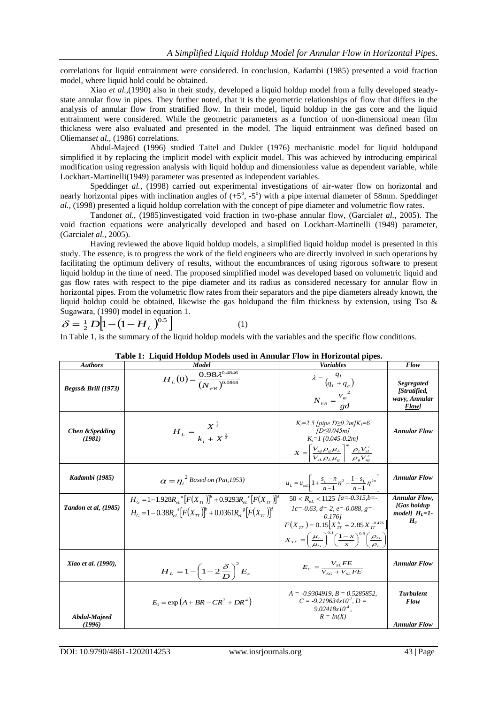correlations for liquid entrainment were considered. In conclusion, Kadambi (1985) presented a void fraction model, where liquid hold could be obtained.

Xiao *et al.,*(1990) also in their study, developed a liquid holdup model from a fully developed steadystate annular flow in pipes. They further noted, that it is the geometric relationships of flow that differs in the analysis of annular flow from stratified flow. In their model, liquid holdup in the gas core and the liquid entrainment were considered. While the geometric parameters as a function of non-dimensional mean film thickness were also evaluated and presented in the model. The liquid entrainment was defined based on Oliemans*et al.,* (1986) correlations.

Abdul-Majeed (1996) studied Taitel and Dukler (1976) mechanistic model for liquid holdupand simplified it by replacing the implicit model with explicit model. This was achieved by introducing empirical modification using regression analysis with liquid holdup and dimensionless value as dependent variable, while Lockhart-Martinelli(1949) parameter was presented as independent variables.

Speddinget al., (1998) carried out experimental investigations of air-water flow on horizontal and nearly horizontal pipes with inclination angles of  $(+5^\circ, -5^\circ)$  with a pipe internal diameter of 58mm. Spedding*et al.,* (1998) presented a liquid holdup correlation with the concept of pipe diameter and volumetric flow rates.

Tandon*et al.,* (1985)investigated void fraction in two-phase annular flow, (Garcial*et al.,* 2005). The void fraction equations were analytically developed and based on Lockhart-Martinelli (1949) parameter, (Garcial*et al.,* 2005).

Having reviewed the above liquid holdup models, a simplified liquid holdup model is presented in this study. The essence, is to progress the work of the field engineers who are directly involved in such operations by facilitating the optimum delivery of results, without the encumbrances of using rigorous software to present liquid holdup in the time of need. The proposed simplified model was developed based on volumetric liquid and gas flow rates with respect to the pipe diameter and its radius as considered necessary for annular flow in horizontal pipes. From the volumetric flow rates from their separators and the pipe diameters already known, the liquid holdup could be obtained, likewise the gas holdupand the film thickness by extension, using Tso  $\&$ Sugawara, (1990) model in equation 1.

$$
\delta = \frac{1}{2} D \Big[ 1 - \big( 1 - H_L \big)^{0.5} \Big] \tag{1}
$$

In Table 1, is the summary of the liquid holdup models with the variables and the specific flow conditions.

| <b>Authors</b>                       | Model                                                                                                                                                                           | <b>Variables</b>                                                                                                                                                                                                                                                                      | Flow                                                                                               |
|--------------------------------------|---------------------------------------------------------------------------------------------------------------------------------------------------------------------------------|---------------------------------------------------------------------------------------------------------------------------------------------------------------------------------------------------------------------------------------------------------------------------------------|----------------------------------------------------------------------------------------------------|
| Begss& Brill (1973)                  | $H_L(0) = \frac{0.98 \lambda^{0.4846}}{(N_{EB})^{0.0868}}$                                                                                                                      | $\lambda = \frac{q_L}{\left(q_L + q_s\right)}$<br>$N_{FR} = \frac{v_{m}^{2}}{I}$                                                                                                                                                                                                      | <b>Segregated</b><br>[Stratified,<br>wavy, Annular<br><b>Flow</b> ]                                |
| <b>Chen &amp; Spedding</b><br>(1981) | $H_L = \frac{X^3}{k + X^{\frac{2}{3}}}$                                                                                                                                         | $K_i = 2.5$ [pipe D $\geq 0.2 m/K_i = 6$<br>$[D \le 0.045m]$<br>$K = 1$ [0.045-0.2m]<br>$X = \left[\frac{V_{sg} \rho_g \mu_L}{V_{sL} \rho_L \mu_g}\right]^m \frac{\rho_L V_{sl}^2}{\rho_g V_{sg}^2}$                                                                                  | <b>Annular Flow</b>                                                                                |
| Kadambi (1985)                       | $\alpha = \eta_i^2$ Based on (Pai, 1953)                                                                                                                                        | $u_L = u_{mL} \left[ 1 + \frac{s_L - n}{n-1} \eta^2 + \frac{1 - s_L}{n-1} \eta^{2n} \right]$                                                                                                                                                                                          | <b>Annular Flow</b>                                                                                |
| Tandon et al, (1985)                 | $H_G = 1-1.928 R_{el}^{a} [F(X_{TT})]^{b} + 0.9293 R_{el}^{c} [F(X_{TT})]^{a}$<br>$H_c = 1 - 0.38 R_{\rm c}^{e} [F(X_{\rm cr})]^{b} + 0.0361 R_{\rm c}^{e} [F(X_{\rm cr})]^{d}$ | $50 < R_{el} < 1125$ [a=-0.315,b=-<br>$1c = -0.63$ , $d = -2$ , $e = -0.088$ , $g = -$<br>0.1761<br>$F(X_{TT}) = 0.15[X_{TT}^{b} + 2.85X_{TT}^{-0.476}]$<br>$X_{TT} = \left(\frac{\mu_L}{\mu_C}\right)^{0.1} \left(\frac{1-x}{x}\right)^{0.9} \left(\frac{\rho_G}{\rho_L}\right)^{1}$ | <b>Annular Flow,</b><br><b>[Gas holdup</b><br>model] $H_l = l$ -<br>$H_{\scriptscriptstyle\sigma}$ |
| Xiao et al. (1990),                  | $H_L = 1 - \left(1 - 2\frac{\delta}{D}\right)^2 E_c$                                                                                                                            | $E_c = \frac{V_{sL}FE}{V_{s} + V_{sL}FE}$                                                                                                                                                                                                                                             | <b>Annular Flow</b>                                                                                |
| <b>Abdul-Majeed</b><br>(1996)        | $E_1 = \exp(A + BR - CR^2 + DR^4)$                                                                                                                                              | $A = -0.9304919$ , $B = 0.5285852$ ,<br>$C = -9.219634x10^{2}$ , D =<br>$9.02418x10^{-4}$ .<br>$R = In(X)$                                                                                                                                                                            | <b>Turbulent</b><br>Flow<br><b>Annular Flow</b>                                                    |

|  |  | Table 1: Liquid Holdup Models used in Annular Flow in Horizontal pipes. |
|--|--|-------------------------------------------------------------------------|
|  |  |                                                                         |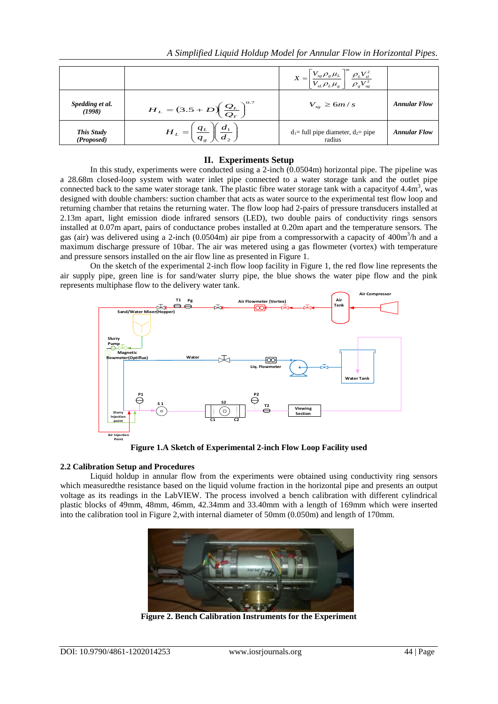|                           |                                                            | $X = \left[\frac{V_{sg} \rho_g \mu_L}{V_{sL} \rho_L \mu_g}\right]^m \frac{\rho_L V_{sl}^2}{\rho_g V_{sg}^2}$ |                     |
|---------------------------|------------------------------------------------------------|--------------------------------------------------------------------------------------------------------------|---------------------|
| Spedding et al.<br>(1998) | $H_{L} = (3.5 + D) \left(\frac{Q_{L}}{Q_{T}}\right)^{0.7}$ | $V_{sg} \ge 6m/s$                                                                                            | <b>Annular Flow</b> |
| This Study<br>(Proposed)  | $\frac{q_L}{q_{_S}}$ $\parallel$<br>$H_L =$                | $d_1$ = full pipe diameter, $d_2$ = pipe<br>radius                                                           | <b>Annular Flow</b> |

#### **II. Experiments Setup**

In this study, experiments were conducted using a 2-inch  $(0.0504m)$  horizontal pipe. The pipeline was a 28.68m closed-loop system with water inlet pipe connected to a water storage tank and the outlet pipe connected back to the same water storage tank. The plastic fibre water storage tank with a capacity of  $4.4\text{m}^3$ , was designed with double chambers: suction chamber that acts as water source to the experimental test flow loop and returning chamber that retains the returning water. The flow loop had 2-pairs of pressure transducers installed at 2.13m apart, light emission diode infrared sensors (LED), two double pairs of conductivity rings sensors installed at 0.07m apart, pairs of conductance probes installed at 0.20m apart and the temperature sensors. The gas (air) was delivered using a 2-inch (0.0504m) air pipe from a compressorwith a capacity of  $400m<sup>3</sup>/h$  and a maximum discharge pressure of 10bar. The air was metered using a gas flowmeter (vortex) with temperature and pressure sensors installed on the air flow line as presented in Figure 1.

On the sketch of the experimental 2-inch flow loop facility in Figure 1, the red flow line represents the air supply pipe, green line is for sand/water slurry pipe, the blue shows the water pipe flow and the pink represents multiphase flow to the delivery water tank. rimer<br>
leliver<br>
<u>F1</u> Pg<br>  $\overline{P}$ 



**Figure 1.A Sketch of Experimental 2-inch Flow Loop Facility used**

#### **2.2 Calibration Setup and Procedures**

Liquid holdup in annular flow from the experiments were obtained using conductivity ring sensors which measuredthe resistance based on the liquid volume fraction in the horizontal pipe and presents an output voltage as its readings in the LabVIEW. The process involved a bench calibration with different cylindrical plastic blocks of 49mm, 48mm, 46mm, 42.34mm and 33.40mm with a length of 169mm which were inserted into the calibration tool in Figure 2,with internal diameter of 50mm (0.050m) and length of 170mm.



**Figure 2. Bench Calibration Instruments for the Experiment**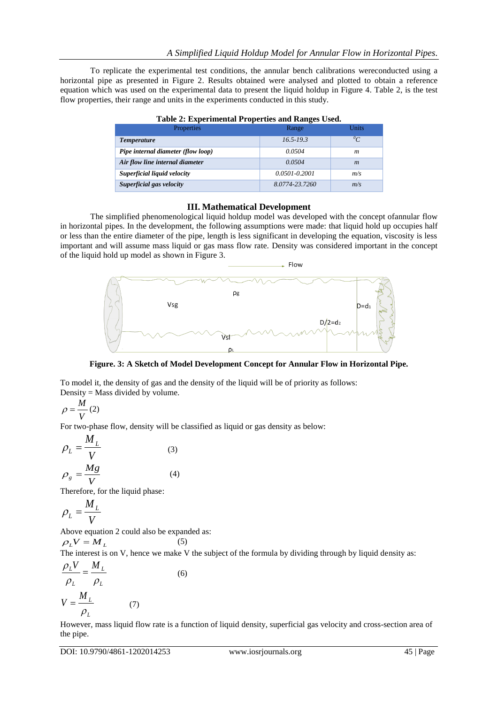To replicate the experimental test conditions, the annular bench calibrations wereconducted using a horizontal pipe as presented in Figure 2. Results obtained were analysed and plotted to obtain a reference equation which was used on the experimental data to present the liquid holdup in Figure 4. Table 2, is the test flow properties, their range and units in the experiments conducted in this study.

| Properties                         | Range             | <b>Units</b>     |
|------------------------------------|-------------------|------------------|
| <i>Temperature</i>                 | $16.5 - 19.3$     | $^{0}C$          |
| Pipe internal diameter (flow loop) | 0.0504            | m                |
| Air flow line internal diameter    | 0.0504            | $\boldsymbol{m}$ |
| Superficial liquid velocity        | $0.0501 - 0.2001$ | m/s              |
| Superficial gas velocity           | 8.0774-23.7260    | m/s              |

#### **Table 2: Experimental Properties and Ranges Used.**

## **III. Mathematical Development**

The simplified phenomenological liquid holdup model was developed with the concept ofannular flow in horizontal pipes. In the development, the following assumptions were made: that liquid hold up occupies half or less than the entire diameter of the pipe, length is less significant in developing the equation, viscosity is less important and will assume mass liquid or gas mass flow rate. Density was considered important in the concept of the liquid hold up model as shown in Figure 3.



**Figure. 3: A Sketch of Model Development Concept for Annular Flow in Horizontal Pipe.**

To model it, the density of gas and the density of the liquid will be of priority as follows: Density = Mass divided by volume.

$$
\rho = \frac{M}{V} (2)
$$

For two-phase flow, density will be classified as liquid or gas density as below:

(5)

$$
\rho_L = \frac{M_L}{V}
$$
\n
$$
\rho_g = \frac{Mg}{V}
$$
\n(3)\n(4)

Therefore, for the liquid phase:

$$
\rho_L = \frac{M_L}{V}
$$

Above equation 2 could also be expanded as:

$$
\rho_L V = M_L
$$

The interest is on V, hence we make V the subject of the formula by dividing through by liquid density as:  $M_{\iota}$  $\rho_L V$  *M* 

$$
\frac{\rho_L}{\rho_L} = \frac{m_L}{\rho_L}
$$
\n
$$
V = \frac{M_L}{\rho_L}
$$
\n(7)

However, mass liquid flow rate is a function of liquid density, superficial gas velocity and cross-section area of the pipe.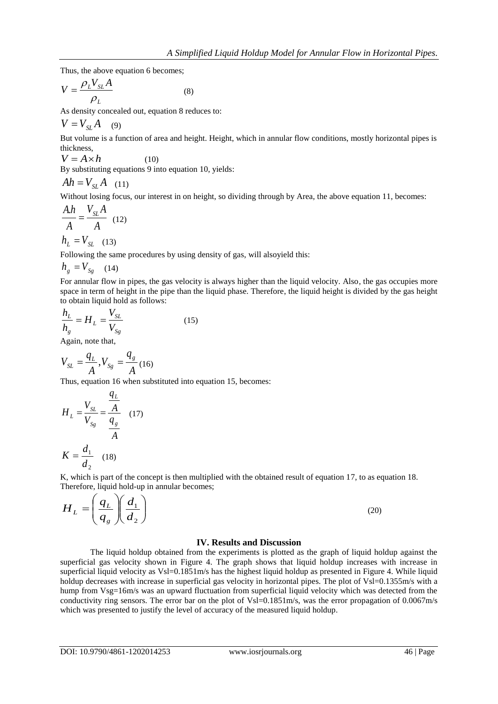Thus, the above equation 6 becomes;

$$
V = \frac{\rho_L V_{SL} A}{\rho_L} \tag{8}
$$

As density concealed out, equation 8 reduces to:

$$
V = V_{SL}A \quad (9)
$$

But volume is a function of area and height. Height, which in annular flow conditions, mostly horizontal pipes is thickness,

$$
V = A \times h \tag{10}
$$

By substituting equations 9 into equation 10, yields:

$$
Ah = V_{SL}A \quad (11)
$$

Without losing focus, our interest in on height, so dividing through by Area, the above equation 11, becomes:

$$
\frac{A.h}{A} = \frac{V_{SL}A}{A} \quad (12)
$$

$$
h_L = V_{SL} \quad (13)
$$

Following the same procedures by using density of gas, will alsoyield this:

$$
h_{_g}=V_{_{Sg}}\quad \ (14)
$$

For annular flow in pipes, the gas velocity is always higher than the liquid velocity. Also, the gas occupies more space in term of height in the pipe than the liquid phase. Therefore, the liquid height is divided by the gas height to obtain liquid hold as follows:

$$
\frac{h_L}{h_g} = H_L = \frac{V_{SL}}{V_{Sg}}
$$
\n(15)

Again, note that,

$$
V_{SL} = \frac{q_L}{A}, V_{Sg} = \frac{q_g}{A} (16)
$$

Thus, equation 16 when substituted into equation 15, becomes:

$$
H_L = \frac{V_{SL}}{V_{Sg}} = \frac{\frac{q_L}{A}}{\frac{q_g}{A}}
$$
 (17)  

$$
K = \frac{d_1}{d_2}
$$
 (18)

K, which is part of the concept is then multiplied with the obtained result of equation 17, to as equation 18. Therefore, liquid hold-up in annular becomes;

$$
H_L = \left(\frac{q_L}{q_s}\right)\left(\frac{d_1}{d_2}\right) \tag{20}
$$

#### **IV. Results and Discussion**

The liquid holdup obtained from the experiments is plotted as the graph of liquid holdup against the superficial gas velocity shown in Figure 4. The graph shows that liquid holdup increases with increase in superficial liquid velocity as Vsl=0.1851m/s has the highest liquid holdup as presented in Figure 4. While liquid holdup decreases with increase in superficial gas velocity in horizontal pipes. The plot of Vsl=0.1355m/s with a hump from Vsg=16m/s was an upward fluctuation from superficial liquid velocity which was detected from the conductivity ring sensors. The error bar on the plot of Vsl=0.1851m/s, was the error propagation of 0.0067m/s which was presented to justify the level of accuracy of the measured liquid holdup.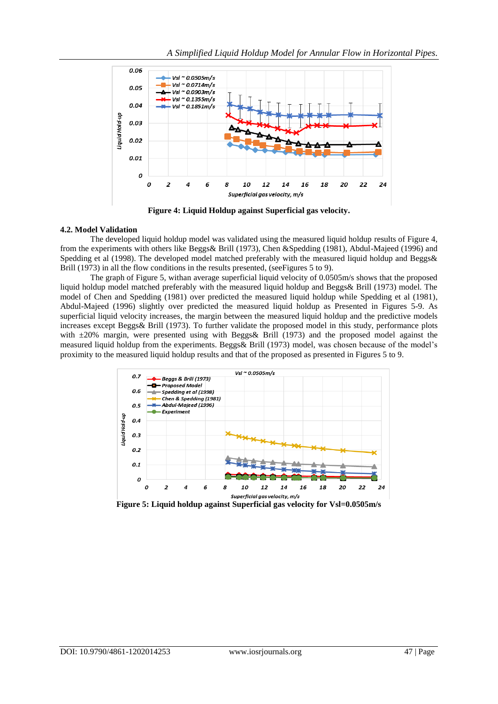

**Figure 4: Liquid Holdup against Superficial gas velocity.**

## **4.2. Model Validation**

The developed liquid holdup model was validated using the measured liquid holdup results of Figure 4, from the experiments with others like Beggs& Brill (1973), Chen &Spedding (1981), Abdul-Majeed (1996) and Spedding et al (1998). The developed model matched preferably with the measured liquid holdup and Beggs& Brill (1973) in all the flow conditions in the results presented, (seeFigures 5 to 9).

The graph of Figure 5, withan average superficial liquid velocity of 0.0505m/s shows that the proposed liquid holdup model matched preferably with the measured liquid holdup and Beggs& Brill (1973) model. The model of Chen and Spedding (1981) over predicted the measured liquid holdup while Spedding et al (1981), Abdul-Majeed (1996) slightly over predicted the measured liquid holdup as Presented in Figures 5-9. As superficial liquid velocity increases, the margin between the measured liquid holdup and the predictive models increases except Beggs& Brill (1973). To further validate the proposed model in this study, performance plots with  $\pm 20\%$  margin, were presented using with Beggs & Brill (1973) and the proposed model against the measured liquid holdup from the experiments. Beggs& Brill (1973) model, was chosen because of the model's proximity to the measured liquid holdup results and that of the proposed as presented in Figures 5 to 9.



**Figure 5: Liquid holdup against Superficial gas velocity for Vsl=0.0505m/s**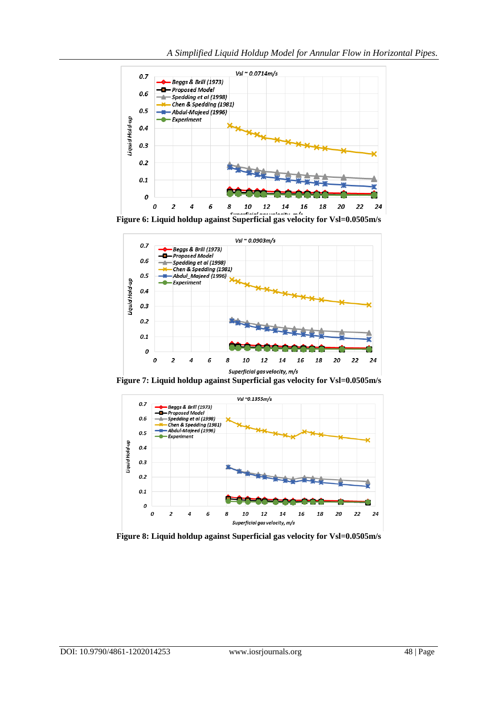



**Figure 7: Liquid holdup against Superficial gas velocity for Vsl=0.0505m/s**



**Figure 8: Liquid holdup against Superficial gas velocity for Vsl=0.0505m/s**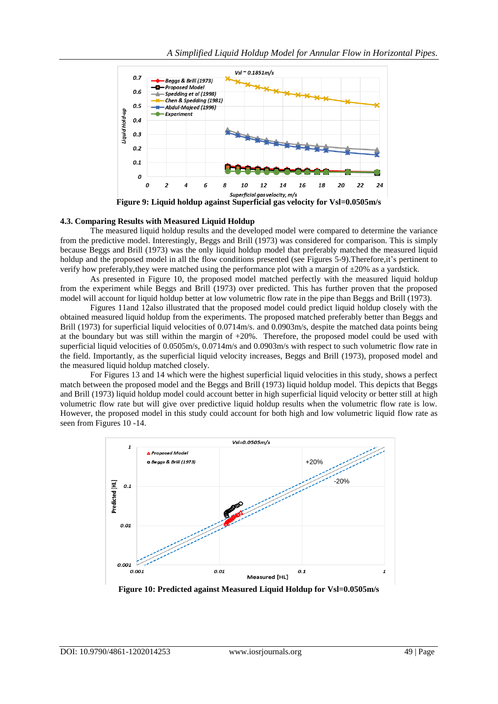

**Figure 9: Liquid holdup against Superficial gas velocity for Vsl=0.0505m/s**

#### **4.3. Comparing Results with Measured Liquid Holdup**

The measured liquid holdup results and the developed model were compared to determine the variance from the predictive model. Interestingly, Beggs and Brill (1973) was considered for comparison. This is simply because Beggs and Brill (1973) was the only liquid holdup model that preferably matched the measured liquid holdup and the proposed model in all the flow conditions presented (see Figures 5-9).Therefore,it's pertinent to verify how preferably,they were matched using the performance plot with a margin of ±20% as a yardstick.

As presented in Figure 10, the proposed model matched perfectly with the measured liquid holdup from the experiment while Beggs and Brill (1973) over predicted. This has further proven that the proposed model will account for liquid holdup better at low volumetric flow rate in the pipe than Beggs and Brill (1973).

Figures 11and 12also illustrated that the proposed model could predict liquid holdup closely with the obtained measured liquid holdup from the experiments. The proposed matched preferably better than Beggs and Brill (1973) for superficial liquid velocities of 0.0714m/s. and 0.0903m/s, despite the matched data points being at the boundary but was still within the margin of +20%. Therefore, the proposed model could be used with superficial liquid velocities of 0.0505m/s, 0.0714m/s and 0.0903m/s with respect to such volumetric flow rate in the field. Importantly, as the superficial liquid velocity increases, Beggs and Brill (1973), proposed model and the measured liquid holdup matched closely.

For Figures 13 and 14 which were the highest superficial liquid velocities in this study, shows a perfect match between the proposed model and the Beggs and Brill (1973) liquid holdup model. This depicts that Beggs and Brill (1973) liquid holdup model could account better in high superficial liquid velocity or better still at high volumetric flow rate but will give over predictive liquid holdup results when the volumetric flow rate is low. However, the proposed model in this study could account for both high and low volumetric liquid flow rate as seen from Figures 10 -14.



**Figure 10: Predicted against Measured Liquid Holdup for Vsl=0.0505m/s**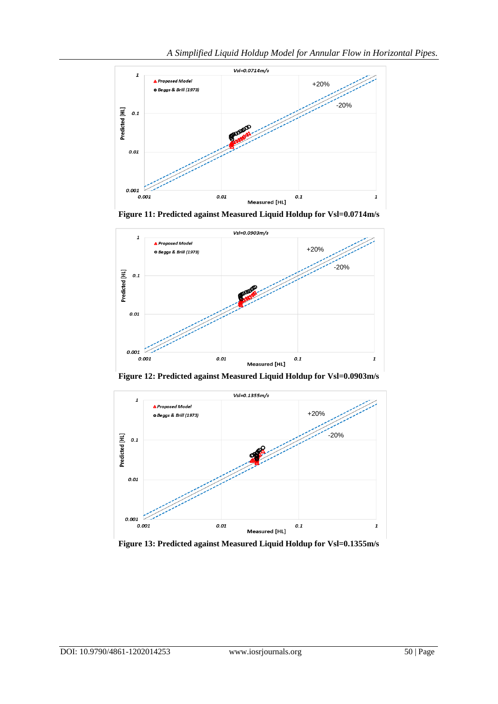

**Figure 11: Predicted against Measured Liquid Holdup for Vsl=0.0714m/s**



**Figure 12: Predicted against Measured Liquid Holdup for Vsl=0.0903m/s**



**Figure 13: Predicted against Measured Liquid Holdup for Vsl=0.1355m/s**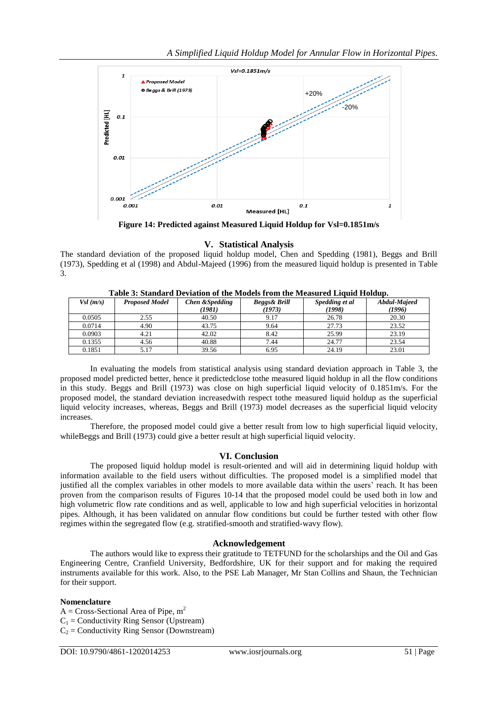

**Figure 14: Predicted against Measured Liquid Holdup for Vsl=0.1851m/s**

**V. Statistical Analysis**

The standard deviation of the proposed liquid holdup model, Chen and Spedding (1981), Beggs and Brill (1973), Spedding et al (1998) and Abdul-Majeed (1996) from the measured liquid holdup is presented in Table 3.

| Vsl(m/s) | <b>Proposed Model</b> | Chen & Spedding<br>(1981) | Beggs& Brill<br>(1973) | Spedding et al<br>(1998) | Abdul-Majeed<br>(1996) |
|----------|-----------------------|---------------------------|------------------------|--------------------------|------------------------|
| 0.0505   | 2.55                  | 40.50                     | 9.17                   | 26.78                    | 20.30                  |
| 0.0714   | 4.90                  | 43.75                     | 9.64                   | 27.73                    | 23.52                  |
| 0.0903   | 4.21                  | 42.02                     | 8.42                   | 25.99                    | 23.19                  |
| 0.1355   | 4.56                  | 40.88                     | 7.44                   | 24.77                    | 23.54                  |
| 0.1851   | 5.17                  | 39.56                     | 6.95                   | 24.19                    | 23.01                  |

**Table 3: Standard Deviation of the Models from the Measured Liquid Holdup.**

In evaluating the models from statistical analysis using standard deviation approach in Table 3, the proposed model predicted better, hence it predictedclose tothe measured liquid holdup in all the flow conditions in this study. Beggs and Brill (1973) was close on high superficial liquid velocity of 0.1851m/s. For the proposed model, the standard deviation increasedwith respect tothe measured liquid holdup as the superficial liquid velocity increases, whereas, Beggs and Brill (1973) model decreases as the superficial liquid velocity increases.

Therefore, the proposed model could give a better result from low to high superficial liquid velocity, whileBeggs and Brill (1973) could give a better result at high superficial liquid velocity.

# **VI. Conclusion**

The proposed liquid holdup model is result-oriented and will aid in determining liquid holdup with information available to the field users without difficulties. The proposed model is a simplified model that justified all the complex variables in other models to more available data within the users' reach. It has been proven from the comparison results of Figures 10-14 that the proposed model could be used both in low and high volumetric flow rate conditions and as well, applicable to low and high superficial velocities in horizontal pipes. Although, it has been validated on annular flow conditions but could be further tested with other flow regimes within the segregated flow (e.g. stratified-smooth and stratified-wavy flow).

# **Acknowledgement**

The authors would like to express their gratitude to TETFUND for the scholarships and the Oil and Gas Engineering Centre, Cranfield University, Bedfordshire, UK for their support and for making the required instruments available for this work. Also, to the PSE Lab Manager, Mr Stan Collins and Shaun, the Technician for their support.

# **Nomenclature**

 $A = Cross-Sectional$  Area of Pipe, m<sup>2</sup>  $C_1$  = Conductivity Ring Sensor (Upstream)  $C_2$  = Conductivity Ring Sensor (Downstream)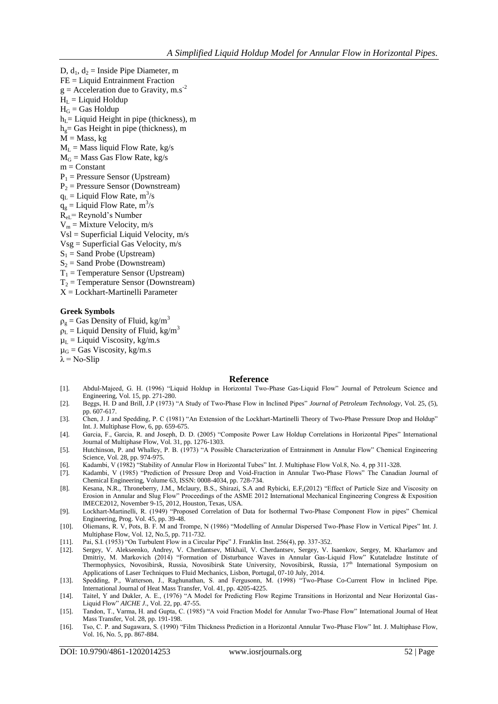D,  $d_1$ ,  $d_2$  = Inside Pipe Diameter, m FE = Liquid Entrainment Fraction  $g =$  Acceleration due to Gravity, m.s<sup>-2</sup>  $H<sub>L</sub> =$  Liquid Holdup  $H_G$  = Gas Holdup  $h_{\text{I}}$  = Liquid Height in pipe (thickness), m  $h<sub>g</sub> =$  Gas Height in pipe (thickness), m  $M = Mass, kg$  $M_L$  = Mass liquid Flow Rate, kg/s  $M<sub>G</sub>$  = Mass Gas Flow Rate, kg/s  $m = Constant$  $P_1$  = Pressure Sensor (Upstream)  $P_2$  = Pressure Sensor (Downstream)  $q_L$  = Liquid Flow Rate, m<sup>3</sup>/s  $q_g$  = Liquid Flow Rate, m<sup>3</sup>/s ReL= Reynold's Number  $V_m =$  Mixture Velocity, m/s Vsl = Superficial Liquid Velocity, m/s  $Vsg =$  Superficial Gas Velocity,  $m/s$  $S_1$  = Sand Probe (Upstream)  $S_2$  = Sand Probe (Downstream)  $T_1$  = Temperature Sensor (Upstream)  $T_2$  = Temperature Sensor (Downstream) X = Lockhart-Martinelli Parameter

#### **Greek Symbols**

 $\rho_{\varrho} =$  Gas Density of Fluid, kg/m<sup>3</sup>  $\rho_L$  = Liquid Density of Fluid, kg/m<sup>3</sup>  $\mu_L$  = Liquid Viscosity, kg/m.s  $\mu_G$  = Gas Viscosity, kg/m.s

 $\lambda$  = No-Slip

#### **Reference**

- [1]. Abdul-Majeed, G. H. (1996) "Liquid Holdup in Horizontal Two-Phase Gas-Liquid Flow" Journal of Petroleum Science and Engineering, Vol. 15, pp. 271-280.
- [2]. Beggs, H. D and Brill, J.P (1973) "A Study of Two-Phase Flow in Inclined Pipes" *Journal of Petroleum Technology*, Vol. 25, (5), pp. 607-617.
- [3]. Chen, J. J and Spedding, P. C (1981) "An Extension of the Lockhart-Martinelli Theory of Two-Phase Pressure Drop and Holdup" Int. J. Multiphase Flow, 6, pp. 659-675.
- [4]. Garcia, F., Garcia, R. and Joseph, D. D. (2005) "Composite Power Law Holdup Correlations in Horizontal Pipes" International Journal of Multiphase Flow, Vol. 31, pp. 1276-1303.
- [5]. Hutchinson, P. and Whalley, P. B. (1973) "A Possible Characterization of Entrainment in Annular Flow" Chemical Engineering Science, Vol. 28, pp. 974-975.
- [6]. Kadambi, V (1982) "Stability of Annular Flow in Horizontal Tubes" Int. J. Multiphase Flow Vol.8, No. 4, pp 311-328.
- [7]. Kadambi, V (1985) "Prediction of Pressure Drop and Void-Fraction in Annular Two-Phase Flows" The Canadian Journal of Chemical Engineering, Volume 63, ISSN: 0008-4034, pp. 728-734.
- [8]. Kesana, N.R., Throneberry, J.M., Mclaury, B.S., Shirazi, S.A and Rybicki, E.F,(2012) "Effect of Particle Size and Viscosity on Erosion in Annular and Slug Flow" Proceedings of the ASME 2012 International Mechanical Engineering Congress & Exposition IMECE2012, November 9-15, 2012, Houston, Texas, USA.
- [9]. Lockhart-Martinelli, R. (1949) "Proposed Correlation of Data for Isothermal Two-Phase Component Flow in pipes" Chemical Engineering, Prog. Vol. 45, pp. 39-48.
- [10]. Oliemans, R. V, Pots, B. F. M and Trompe, N (1986) "Modelling of Annular Dispersed Two-Phase Flow in Vertical Pipes" Int. J. Multiphase Flow, Vol. 12, No.5, pp. 711-732.
- [11]. Pai, S.I. (1953) "On Turbulent Flow in a Circular Pipe" J. Franklin Inst. 256(4), pp. 337-352.
- [12]. Sergey, V. Alekseenko, Andrey, V. Cherdantsev, Mikhail, V. Cherdantsev, Sergey, V. Isaenkov, Sergey, M. Kharlamov and Dmitriy, M. Markovich (2014) "Formation of Disturbance Waves in Annular Gas-Liquid Flow" Kutateladze Institute of Thermophysics, Novosibirsk, Russia, Novosibirsk State University, Novosibirsk, Russia, 17<sup>th</sup> International Symposium on Applications of Laser Techniques to Fluid Mechanics, Lisbon, Portugal, 07-10 July, 2014.
- [13]. Spedding, P., Watterson, J., Raghunathan, S. and Fergusonn, M. (1998) "Two-Phase Co-Current Flow in Inclined Pipe. International Journal of Heat Mass Transfer, Vol. 41, pp. 4205-4225.
- [14]. Taitel, Y and Dukler, A. E., (1976) "A Model for Predicting Flow Regime Transitions in Horizontal and Near Horizontal Gas-Liquid Flow" *AICHE J*., Vol. 22, pp. 47-55.
- [15]. Tandon, T., Varma, H. and Gupta, C. (1985) "A void Fraction Model for Annular Two-Phase Flow" International Journal of Heat Mass Transfer, Vol. 28, pp. 191-198.
- [16]. Tso, C. P. and Sugawara, S. (1990) "Film Thickness Prediction in a Horizontal Annular Two-Phase Flow" Int. J. Multiphase Flow, Vol. 16, No. 5, pp. 867-884.